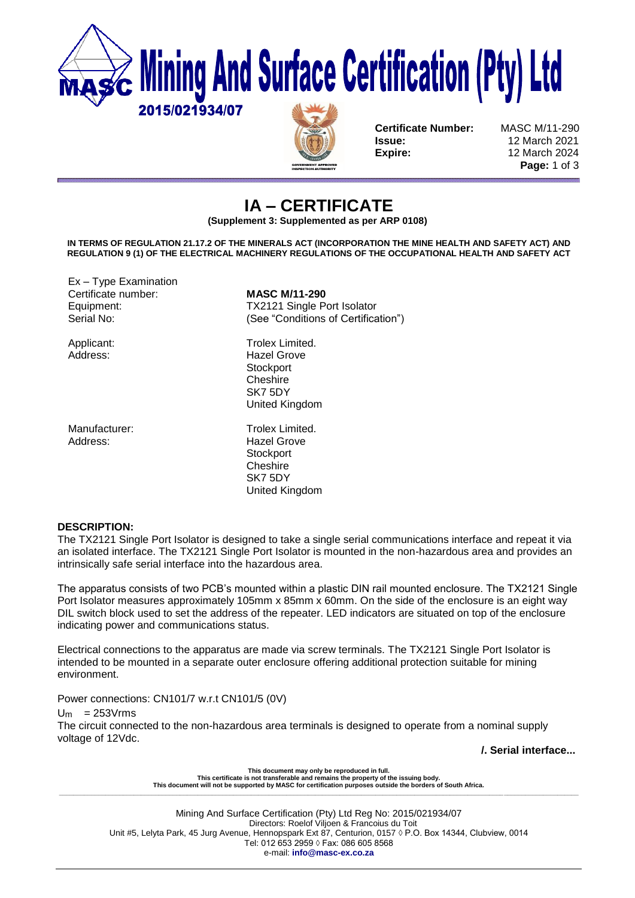

**Certificate Number:** MASC M/11-290 **Issue:** 12 March 2021 **Expire:** 12 March 2024

**Page:** 1 of 3

# **IA – CERTIFICATE**

**(Supplement 3: Supplemented as per ARP 0108)**

**IN TERMS OF REGULATION 21.17.2 OF THE MINERALS ACT (INCORPORATION THE MINE HEALTH AND SAFETY ACT) AND REGULATION 9 (1) OF THE ELECTRICAL MACHINERY REGULATIONS OF THE OCCUPATIONAL HEALTH AND SAFETY ACT** 

Ex – Type Examination Certificate number: **MASC M/11-290**

Address: Hazel Grove

Equipment: TX2121 Single Port Isolator Serial No: (See "Conditions of Certification")

Applicant: Trolex Limited.<br>Address: The Hazel Grove **Hazel Grove Stockport Cheshire** SK7 5DY United Kingdom

Manufacturer: Trolex Limited **Stockport Cheshire** SK7 5DY United Kingdom

## **DESCRIPTION:**

The TX2121 Single Port Isolator is designed to take a single serial communications interface and repeat it via an isolated interface. The TX2121 Single Port Isolator is mounted in the non-hazardous area and provides an intrinsically safe serial interface into the hazardous area.

The apparatus consists of two PCB's mounted within a plastic DIN rail mounted enclosure. The TX2121 Single Port Isolator measures approximately 105mm x 85mm x 60mm. On the side of the enclosure is an eight way DIL switch block used to set the address of the repeater. LED indicators are situated on top of the enclosure indicating power and communications status.

Electrical connections to the apparatus are made via screw terminals. The TX2121 Single Port Isolator is intended to be mounted in a separate outer enclosure offering additional protection suitable for mining environment.

Power connections: CN101/7 w.r.t CN101/5 (0V)

 $Um = 253Vrms$ 

The circuit connected to the non-hazardous area terminals is designed to operate from a nominal supply voltage of 12Vdc.

**/. Serial interface...**

**This document may only be reproduced in full. This certificate is not transferable and remains the property of the issuing body. This document will not be supported by MASC for certification purposes outside the borders of South Africa. \_\_\_\_\_\_\_\_\_\_\_\_\_\_\_\_\_\_\_\_\_\_\_\_\_\_\_\_\_\_\_\_\_\_\_\_\_\_\_\_\_\_\_\_\_\_\_\_\_\_\_\_\_\_\_\_\_\_\_\_\_\_\_\_\_\_\_\_\_\_\_\_\_\_\_\_\_\_\_\_\_\_\_\_\_\_\_\_\_\_\_\_\_\_\_\_\_\_\_\_\_\_\_\_\_\_\_\_\_\_\_\_\_\_\_\_\_\_\_\_\_\_\_\_\_\_\_\_\_\_\_\_\_\_\_\_\_\_\_\_\_\_\_\_\_\_**

Mining And Surface Certification (Pty) Ltd Reg No: 2015/021934/07 Directors: Roelof Viljoen & Francoius du Toit Unit #5, Lelyta Park, 45 Jurg Avenue, Hennopspark Ext 87, Centurion, 0157 ◊ P.O. Box 14344, Clubview, 0014 Tel: 012 653 2959 ◊ Fax: 086 605 8568 e-mail: **info@masc-ex.co.za**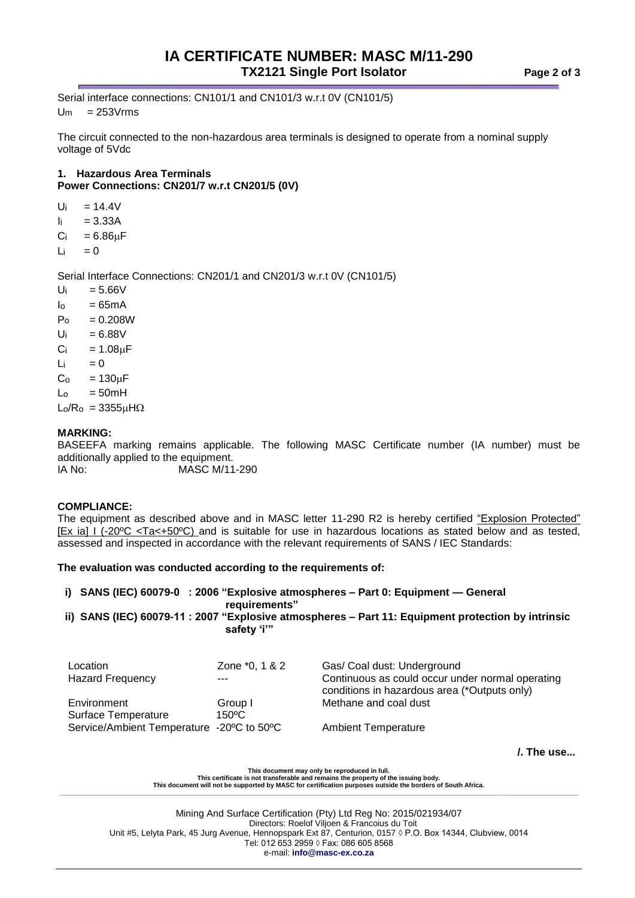## **IA CERTIFICATE NUMBER: MASC M/11-290 TX2121 Single Port Isolator Page 2 of 3**

Serial interface connections: CN101/1 and CN101/3 w.r.t 0V (CN101/5)  $Um = 253Vrms$ 

The circuit connected to the non-hazardous area terminals is designed to operate from a nominal supply voltage of 5Vdc

## **1. Hazardous Area Terminals Power Connections: CN201/7 w.r.t CN201/5 (0V)**

- $U_i = 14.4V$
- $I_i = 3.33A$
- $C_i = 6.86 \mu F$
- $Li = 0$

Serial Interface Connections: CN201/1 and CN201/3 w.r.t 0V (CN101/5)

- $U_i = 5.66V$
- $I_0 = 65mA$
- $P_0 = 0.208W$
- $U_i = 6.88V$
- $Ci = 1.08\mu F$
- $Li = 0$
- $C<sub>o</sub> = 130<sub>µ</sub>F$
- $L_0 = 50mH$
- $L_0/R_0 = 3355 \mu H \Omega$

## **MARKING:**

BASEEFA marking remains applicable. The following MASC Certificate number (IA number) must be additionally applied to the equipment.

IA No: MASC M/11-290

## **COMPLIANCE:**

The equipment as described above and in MASC letter 11-290 R2 is hereby certified "Explosion Protected" [Ex ia] I (-20ºC <Ta<+50ºC) and is suitable for use in hazardous locations as stated below and as tested, assessed and inspected in accordance with the relevant requirements of SANS / IEC Standards:

**The evaluation was conducted according to the requirements of:** 

## **i) SANS (IEC) 60079-0 : 2006 "Explosive atmospheres – Part 0: Equipment — General requirements" ii) SANS (IEC) 60079-11 : 2007 "Explosive atmospheres – Part 11: Equipment protection by intrinsic safety 'i'"**

| Location<br><b>Hazard Frequency</b>       | Zone *0, 1 & 2<br>---      | Gas/ Coal dust: Underground<br>Continuous as could occur under normal operating<br>conditions in hazardous area (*Outputs only) |
|-------------------------------------------|----------------------------|---------------------------------------------------------------------------------------------------------------------------------|
| Environment<br><b>Surface Temperature</b> | Group I<br>$150^{\circ}$ C | Methane and coal dust                                                                                                           |
| Service/Ambient Temperature -20°C to 50°C |                            | <b>Ambient Temperature</b>                                                                                                      |

**/. The use...**

**This document may only be reproduced in full. This certificate is not transferable and remains the property of the issuing body. This document will not be supported by MASC for certification purposes outside the borders of South Africa. \_\_\_\_\_\_\_\_\_\_\_\_\_\_\_\_\_\_\_\_\_\_\_\_\_\_\_\_\_\_\_\_\_\_\_\_\_\_\_\_\_\_\_\_\_\_\_\_\_\_\_\_\_\_\_\_\_\_\_\_\_\_\_\_\_\_\_\_\_\_\_\_\_\_\_\_\_\_\_\_\_\_\_\_\_\_\_\_\_\_\_\_\_\_\_\_\_\_\_\_\_\_\_\_\_\_\_\_\_\_\_\_\_\_\_\_\_\_\_\_\_\_\_\_\_\_\_\_\_\_\_\_\_\_\_\_\_\_\_\_\_\_\_\_\_\_**

Mining And Surface Certification (Pty) Ltd Reg No: 2015/021934/07 Directors: Roelof Viljoen & Francoius du Toit Unit #5, Lelyta Park, 45 Jurg Avenue, Hennopspark Ext 87, Centurion, 0157 ◊ P.O. Box 14344, Clubview, 0014 Tel: 012 653 2959 ◊ Fax: 086 605 8568 e-mail: **info@masc-ex.co.za**